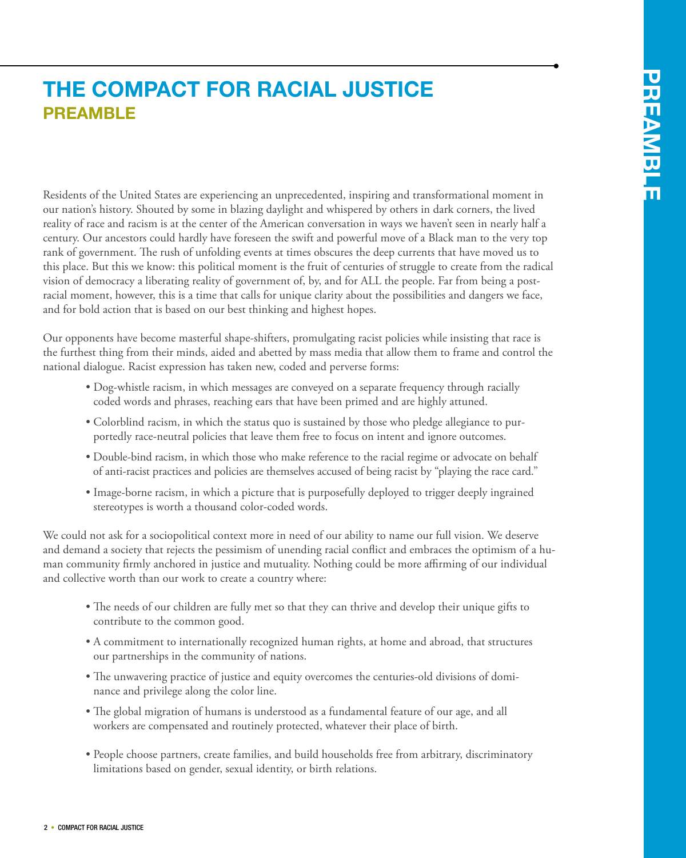## **preamble The compact for racial justice**

Residents of the United States are experiencing an unprecedented, inspiring and transformational moment in our nation's history. Shouted by some in blazing daylight and whispered by others in dark corners, the lived reality of race and racism is at the center of the American conversation in ways we haven't seen in nearly half a century. Our ancestors could hardly have foreseen the swift and powerful move of a Black man to the very top rank of government. The rush of unfolding events at times obscures the deep currents that have moved us to this place. But this we know: this political moment is the fruit of centuries of struggle to create from the radical vision of democracy a liberating reality of government of, by, and for ALL the people. Far from being a postracial moment, however, this is a time that calls for unique clarity about the possibilities and dangers we face, and for bold action that is based on our best thinking and highest hopes.

Our opponents have become masterful shape-shifters, promulgating racist policies while insisting that race is the furthest thing from their minds, aided and abetted by mass media that allow them to frame and control the national dialogue. Racist expression has taken new, coded and perverse forms:

- Dog-whistle racism, in which messages are conveyed on a separate frequency through racially coded words and phrases, reaching ears that have been primed and are highly attuned.
- Colorblind racism, in which the status quo is sustained by those who pledge allegiance to purportedly race-neutral policies that leave them free to focus on intent and ignore outcomes.
- Double-bind racism, in which those who make reference to the racial regime or advocate on behalf of anti-racist practices and policies are themselves accused of being racist by "playing the race card."
- Image-borne racism, in which a picture that is purposefully deployed to trigger deeply ingrained stereotypes is worth a thousand color-coded words.

We could not ask for a sociopolitical context more in need of our ability to name our full vision. We deserve and demand a society that rejects the pessimism of unending racial conflict and embraces the optimism of a human community firmly anchored in justice and mutuality. Nothing could be more affirming of our individual and collective worth than our work to create a country where:

- The needs of our children are fully met so that they can thrive and develop their unique gifts to contribute to the common good.
- A commitment to internationally recognized human rights, at home and abroad, that structures our partnerships in the community of nations.
- The unwavering practice of justice and equity overcomes the centuries-old divisions of dominance and privilege along the color line.
- The global migration of humans is understood as a fundamental feature of our age, and all workers are compensated and routinely protected, whatever their place of birth.
- People choose partners, create families, and build households free from arbitrary, discriminatory limitations based on gender, sexual identity, or birth relations.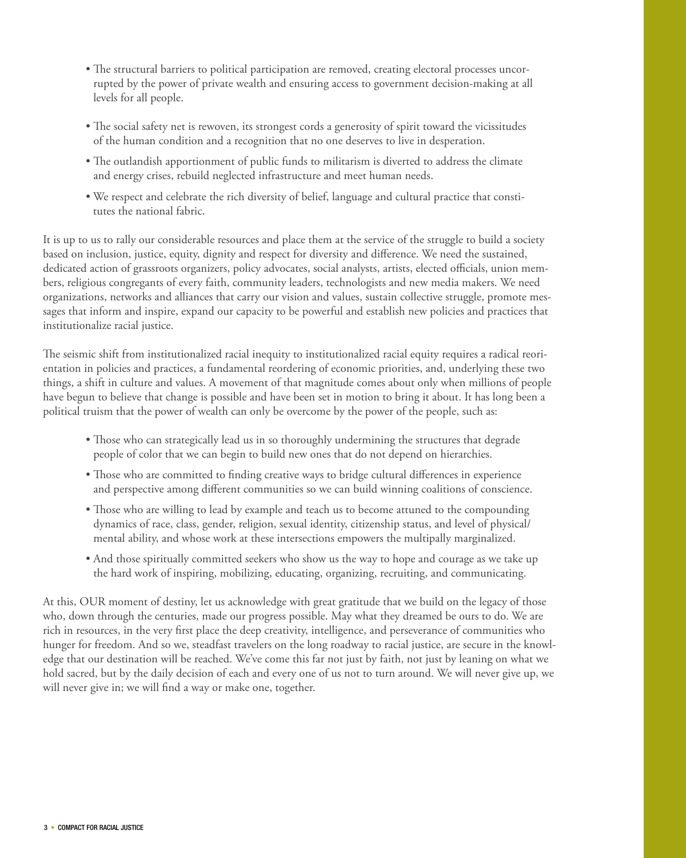- The structural barriers to political participation are removed, creating electoral processes uncorrupted by the power of private wealth and ensuring access to government decision-making at all levels for all people.
- The social safety net is rewoven, its strongest cords a generosity of spirit toward the vicissitudes of the human condition and a recognition that no one deserves to live in desperation.
- The outlandish apportionment of public funds to militarism is diverted to address the climate and energy crises, rebuild neglected infrastructure and meet human needs.
- We respect and celebrate the rich diversity of belief, language and cultural practice that constitutes the national fabric.

It is up to us to rally our considerable resources and place them at the service of the struggle to build a society based on inclusion, justice, equity, dignity and respect for diversity and difference. We need the sustained, dedicated action of grassroots organizers, policy advocates, social analysts, artists, elected officials, union members, religious congregants of every faith, community leaders, technologists and new media makers. We need organizations, networks and alliances that carry our vision and values, sustain collective struggle, promote messages that inform and inspire, expand our capacity to be powerful and establish new policies and practices that institutionalize racial justice.

The seismic shift from institutionalized racial inequity to institutionalized racial equity requires a radical reorientation in policies and practices, a fundamental reordering of economic priorities, and, underlying these two things, a shift in culture and values. A movement of that magnitude comes about only when millions of people have begun to believe that change is possible and have been set in motion to bring it about. It has long been a political truism that the power of wealth can only be overcome by the power of the people, such as:

- Those who can strategically lead us in so thoroughly undermining the structures that degrade people of color that we can begin to build new ones that do not depend on hierarchies.
- Those who are committed to finding creative ways to bridge cultural differences in experience and perspective among different communities so we can build winning coalitions of conscience.
- Those who are willing to lead by example and teach us to become attuned to the compounding dynamics of race, class, gender, religion, sexual identity, citizenship status, and level of physical/ mental ability, and whose work at these intersections empowers the multipally marginalized.
- And those spiritually committed seekers who show us the way to hope and courage as we take up the hard work of inspiring, mobilizing, educating, organizing, recruiting, and communicating.

At this, OUR moment of destiny, let us acknowledge with great gratitude that we build on the legacy of those who, down through the centuries, made our progress possible. May what they dreamed be ours to do. We are rich in resources, in the very first place the deep creativity, intelligence, and perseverance of communities who hunger for freedom. And so we, steadfast travelers on the long roadway to racial justice, are secure in the knowledge that our destination will be reached. We've come this far not just by faith, not just by leaning on what we hold sacred, but by the daily decision of each and every one of us not to turn around. We will never give up, we will never give in; we will find a way or make one, together.